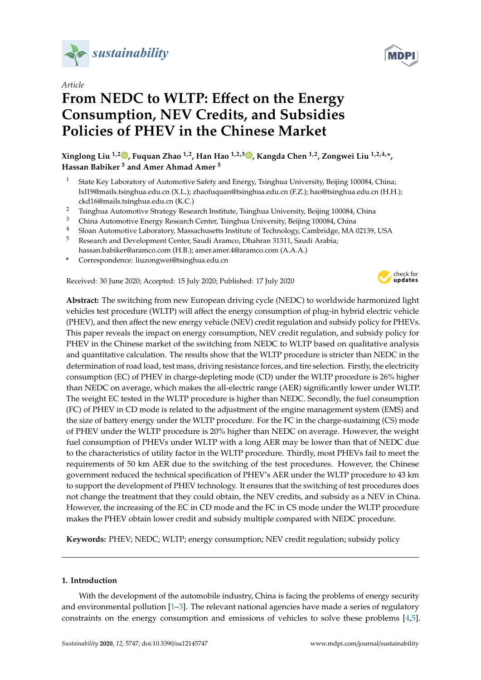

*Article*

# From NEDC to WLTP: Effect on the Energy **Consumption, NEV Credits, and Subsidies Policies of PHEV in the Chinese Market**

**Xinglong Liu 1,2 [,](https://orcid.org/0000-0001-6219-534X) Fuquan Zhao 1,2, Han Hao 1,2,3 [,](https://orcid.org/0000-0001-7542-4746) Kangda Chen 1,2, Zongwei Liu 1,2,4,\*, Hassan Babiker <sup>5</sup> and Amer Ahmad Amer <sup>5</sup>**

- <sup>1</sup> State Key Laboratory of Automotive Safety and Energy, Tsinghua University, Beijing 100084, China; lxl19@mails.tsinghua.edu.cn (X.L.); zhaofuquan@tsinghua.edu.cn (F.Z.); hao@tsinghua.edu.cn (H.H.); ckd16@mails.tsinghua.edu.cn (K.C.)
- <sup>2</sup> Tsinghua Automotive Strategy Research Institute, Tsinghua University, Beijing 100084, China
- <sup>3</sup> China Automotive Energy Research Center, Tsinghua University, Beijing 100084, China
- <sup>4</sup> Sloan Automotive Laboratory, Massachusetts Institute of Technology, Cambridge, MA 02139, USA
- <sup>5</sup> Research and Development Center, Saudi Aramco, Dhahran 31311, Saudi Arabia; hassan.babiker@aramco.com (H.B.); amer.amer.4@aramco.com (A.A.A.)
- **\*** Correspondence: liuzongwei@tsinghua.edu.cn

Received: 30 June 2020; Accepted: 15 July 2020; Published: 17 July 2020



**Abstract:** The switching from new European driving cycle (NEDC) to worldwide harmonized light vehicles test procedure (WLTP) will affect the energy consumption of plug-in hybrid electric vehicle (PHEV), and then affect the new energy vehicle (NEV) credit regulation and subsidy policy for PHEVs. This paper reveals the impact on energy consumption, NEV credit regulation, and subsidy policy for PHEV in the Chinese market of the switching from NEDC to WLTP based on qualitative analysis and quantitative calculation. The results show that the WLTP procedure is stricter than NEDC in the determination of road load, test mass, driving resistance forces, and tire selection. Firstly, the electricity consumption (EC) of PHEV in charge-depleting mode (CD) under the WLTP procedure is 26% higher than NEDC on average, which makes the all-electric range (AER) significantly lower under WLTP. The weight EC tested in the WLTP procedure is higher than NEDC. Secondly, the fuel consumption (FC) of PHEV in CD mode is related to the adjustment of the engine management system (EMS) and the size of battery energy under the WLTP procedure. For the FC in the charge-sustaining (CS) mode of PHEV under the WLTP procedure is 20% higher than NEDC on average. However, the weight fuel consumption of PHEVs under WLTP with a long AER may be lower than that of NEDC due to the characteristics of utility factor in the WLTP procedure. Thirdly, most PHEVs fail to meet the requirements of 50 km AER due to the switching of the test procedures. However, the Chinese government reduced the technical specification of PHEV's AER under the WLTP procedure to 43 km to support the development of PHEV technology. It ensures that the switching of test procedures does not change the treatment that they could obtain, the NEV credits, and subsidy as a NEV in China. However, the increasing of the EC in CD mode and the FC in CS mode under the WLTP procedure makes the PHEV obtain lower credit and subsidy multiple compared with NEDC procedure.

**Keywords:** PHEV; NEDC; WLTP; energy consumption; NEV credit regulation; subsidy policy

# **1. Introduction**

With the development of the automobile industry, China is facing the problems of energy security and environmental pollution [\[1](#page-16-0)[–3\]](#page-16-1). The relevant national agencies have made a series of regulatory constraints on the energy consumption and emissions of vehicles to solve these problems [\[4,](#page-16-2)[5\]](#page-16-3).

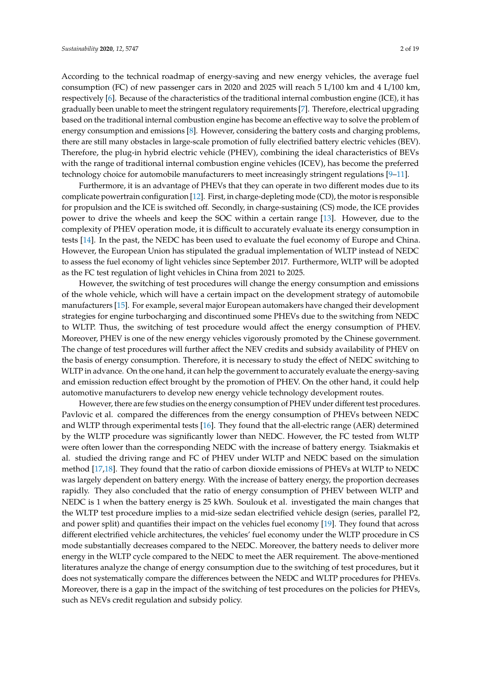According to the technical roadmap of energy-saving and new energy vehicles, the average fuel consumption (FC) of new passenger cars in 2020 and 2025 will reach 5 L/100 km and 4 L/100 km, respectively [\[6\]](#page-16-4). Because of the characteristics of the traditional internal combustion engine (ICE), it has gradually been unable to meet the stringent regulatory requirements [\[7\]](#page-16-5). Therefore, electrical upgrading based on the traditional internal combustion engine has become an effective way to solve the problem of energy consumption and emissions [\[8\]](#page-16-6). However, considering the battery costs and charging problems, there are still many obstacles in large-scale promotion of fully electrified battery electric vehicles (BEV). Therefore, the plug-in hybrid electric vehicle (PHEV), combining the ideal characteristics of BEVs with the range of traditional internal combustion engine vehicles (ICEV), has become the preferred technology choice for automobile manufacturers to meet increasingly stringent regulations [\[9](#page-16-7)[–11\]](#page-16-8).

Furthermore, it is an advantage of PHEVs that they can operate in two different modes due to its complicate powertrain configuration [\[12\]](#page-16-9). First, in charge-depleting mode (CD), the motor is responsible for propulsion and the ICE is switched off. Secondly, in charge-sustaining (CS) mode, the ICE provides power to drive the wheels and keep the SOC within a certain range [\[13\]](#page-16-10). However, due to the complexity of PHEV operation mode, it is difficult to accurately evaluate its energy consumption in tests [\[14\]](#page-16-11). In the past, the NEDC has been used to evaluate the fuel economy of Europe and China. However, the European Union has stipulated the gradual implementation of WLTP instead of NEDC to assess the fuel economy of light vehicles since September 2017. Furthermore, WLTP will be adopted as the FC test regulation of light vehicles in China from 2021 to 2025.

However, the switching of test procedures will change the energy consumption and emissions of the whole vehicle, which will have a certain impact on the development strategy of automobile manufacturers [\[15\]](#page-16-12). For example, several major European automakers have changed their development strategies for engine turbocharging and discontinued some PHEVs due to the switching from NEDC to WLTP. Thus, the switching of test procedure would affect the energy consumption of PHEV. Moreover, PHEV is one of the new energy vehicles vigorously promoted by the Chinese government. The change of test procedures will further affect the NEV credits and subsidy availability of PHEV on the basis of energy consumption. Therefore, it is necessary to study the effect of NEDC switching to WLTP in advance. On the one hand, it can help the government to accurately evaluate the energy-saving and emission reduction effect brought by the promotion of PHEV. On the other hand, it could help automotive manufacturers to develop new energy vehicle technology development routes.

However, there are few studies on the energy consumption of PHEV under different test procedures. Pavlovic et al. compared the differences from the energy consumption of PHEVs between NEDC and WLTP through experimental tests [\[16\]](#page-16-13). They found that the all-electric range (AER) determined by the WLTP procedure was significantly lower than NEDC. However, the FC tested from WLTP were often lower than the corresponding NEDC with the increase of battery energy. Tsiakmakis et al. studied the driving range and FC of PHEV under WLTP and NEDC based on the simulation method [\[17,](#page-16-14)[18\]](#page-17-0). They found that the ratio of carbon dioxide emissions of PHEVs at WLTP to NEDC was largely dependent on battery energy. With the increase of battery energy, the proportion decreases rapidly. They also concluded that the ratio of energy consumption of PHEV between WLTP and NEDC is 1 when the battery energy is 25 kWh. Soulouk et al. investigated the main changes that the WLTP test procedure implies to a mid-size sedan electrified vehicle design (series, parallel P2, and power split) and quantifies their impact on the vehicles fuel economy [\[19\]](#page-17-1). They found that across different electrified vehicle architectures, the vehicles' fuel economy under the WLTP procedure in CS mode substantially decreases compared to the NEDC. Moreover, the battery needs to deliver more energy in the WLTP cycle compared to the NEDC to meet the AER requirement. The above-mentioned literatures analyze the change of energy consumption due to the switching of test procedures, but it does not systematically compare the differences between the NEDC and WLTP procedures for PHEVs. Moreover, there is a gap in the impact of the switching of test procedures on the policies for PHEVs, such as NEVs credit regulation and subsidy policy.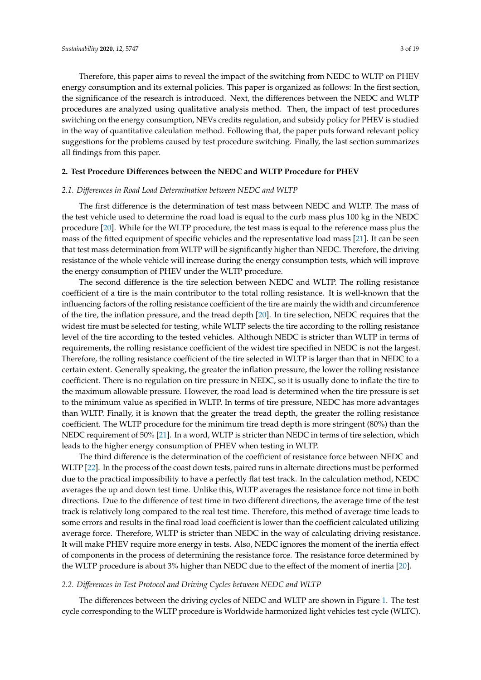Therefore, this paper aims to reveal the impact of the switching from NEDC to WLTP on PHEV energy consumption and its external policies. This paper is organized as follows: In the first section, the significance of the research is introduced. Next, the differences between the NEDC and WLTP procedures are analyzed using qualitative analysis method. Then, the impact of test procedures switching on the energy consumption, NEVs credits regulation, and subsidy policy for PHEV is studied in the way of quantitative calculation method. Following that, the paper puts forward relevant policy suggestions for the problems caused by test procedure switching. Finally, the last section summarizes all findings from this paper.

#### **2. Test Procedure Di**ff**erences between the NEDC and WLTP Procedure for PHEV**

#### *2.1. Di*ff*erences in Road Load Determination between NEDC and WLTP*

The first difference is the determination of test mass between NEDC and WLTP. The mass of the test vehicle used to determine the road load is equal to the curb mass plus 100 kg in the NEDC procedure [\[20\]](#page-17-2). While for the WLTP procedure, the test mass is equal to the reference mass plus the mass of the fitted equipment of specific vehicles and the representative load mass [\[21\]](#page-17-3). It can be seen that test mass determination from WLTP will be significantly higher than NEDC. Therefore, the driving resistance of the whole vehicle will increase during the energy consumption tests, which will improve the energy consumption of PHEV under the WLTP procedure.

The second difference is the tire selection between NEDC and WLTP. The rolling resistance coefficient of a tire is the main contributor to the total rolling resistance. It is well-known that the influencing factors of the rolling resistance coefficient of the tire are mainly the width and circumference of the tire, the inflation pressure, and the tread depth [\[20\]](#page-17-2). In tire selection, NEDC requires that the widest tire must be selected for testing, while WLTP selects the tire according to the rolling resistance level of the tire according to the tested vehicles. Although NEDC is stricter than WLTP in terms of requirements, the rolling resistance coefficient of the widest tire specified in NEDC is not the largest. Therefore, the rolling resistance coefficient of the tire selected in WLTP is larger than that in NEDC to a certain extent. Generally speaking, the greater the inflation pressure, the lower the rolling resistance coefficient. There is no regulation on tire pressure in NEDC, so it is usually done to inflate the tire to the maximum allowable pressure. However, the road load is determined when the tire pressure is set to the minimum value as specified in WLTP. In terms of tire pressure, NEDC has more advantages than WLTP. Finally, it is known that the greater the tread depth, the greater the rolling resistance coefficient. The WLTP procedure for the minimum tire tread depth is more stringent (80%) than the NEDC requirement of 50% [\[21\]](#page-17-3). In a word, WLTP is stricter than NEDC in terms of tire selection, which leads to the higher energy consumption of PHEV when testing in WLTP.

The third difference is the determination of the coefficient of resistance force between NEDC and WLTP [\[22\]](#page-17-4). In the process of the coast down tests, paired runs in alternate directions must be performed due to the practical impossibility to have a perfectly flat test track. In the calculation method, NEDC averages the up and down test time. Unlike this, WLTP averages the resistance force not time in both directions. Due to the difference of test time in two different directions, the average time of the test track is relatively long compared to the real test time. Therefore, this method of average time leads to some errors and results in the final road load coefficient is lower than the coefficient calculated utilizing average force. Therefore, WLTP is stricter than NEDC in the way of calculating driving resistance. It will make PHEV require more energy in tests. Also, NEDC ignores the moment of the inertia effect of components in the process of determining the resistance force. The resistance force determined by the WLTP procedure is about 3% higher than NEDC due to the effect of the moment of inertia [\[20\]](#page-17-2).

#### *2.2. Di*ff*erences in Test Protocol and Driving Cycles between NEDC and WLTP*

The differences between the driving cycles of NEDC and WLTP are shown in Figure [1.](#page-3-0) The test cycle corresponding to the WLTP procedure is Worldwide harmonized light vehicles test cycle (WLTC).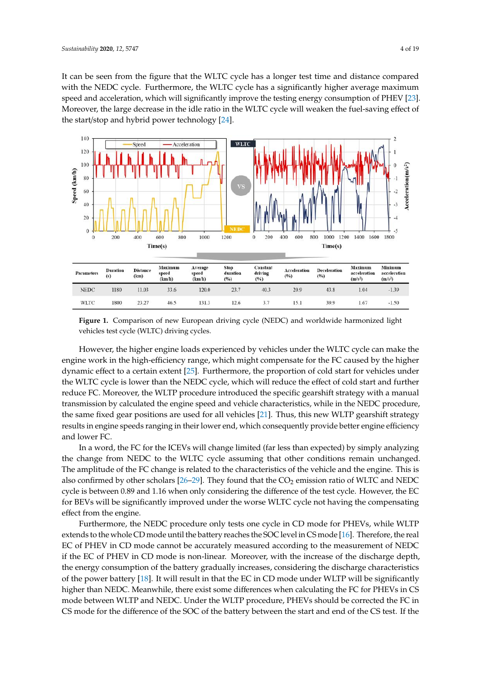It can be seen from the figure that the WLTC cycle has a longer test time and distance compared with the NEDC cycle. Furthermore, the WLTC cycle has a significantly higher average maximum speed and acceleration, which will significantly improve the testing energy consumption of PHEV [\[23\]](#page-17-5). Moreover, the large decrease in the idle ratio in the WLTC cycle will weaken the fuel-saving effect of the start/stop and hybrid power technology  $[24]$ .

<span id="page-3-0"></span>

**Figure 1.** Comparison of new European driving cycle (NEDC) and worldwide harmonized light **Figure 1.** Comparison of new European driving cycle (NEDC) and worldwide harmonized light vehicles test cycle (WLTC) driving cycles. vehicles test cycle (WLTC) driving cycles.

However, the higher engine loads experienced by vehicles under the WLTC cycle can make the However, the higher engine loads experienced by vehicles under the WLTC cycle can make the engine work in the high-efficiency range, which might compensate for the FC caused by the higher engine work in the high-efficiency range, which might compensate for the FC caused by the higher dynamic effect to a certain extent [[25\].](#page-17-7) Furthermore, the proportion of cold start for vehicles under the WLTC cycle is lower than the NEDC cycle, which will reduce the effect of cold start and further the WLTC cycle is lower than the NEDC cycle, which will reduce the effect of cold start and further reduce FC. Moreover, the WLTP procedure introduced the specific gearshift strategy with a manual reduce FC. Moreover, the WLTP procedure introduced the specific gearshift strategy with a manual transmission by calculated the engine speed and vehicle characteristics, while in the NEDC procedure, transmission by calculated the engine speed and vehicle characteristics, while in the NEDC procedure, the same fixed gear positions are used for all vehicles [21]. Thus, this new WLTP gearshift strategy the same fixed gear positions are used for all vehicles [\[21\]](#page-17-3). Thus, this new WLTP gearshift strategy results in engine speeds ranging in their lower end, which consequently provide better engine results in engine speeds ranging in their lower end, which consequently provide better engine efficiency and lower FC.

In a word, the FC for the ICEVs will change limited (far less than expected) by simply analyzing In a word, the FC for the ICEVs will change limited (far less than expected) by simply analyzing  $t_{\rm{max}}$  from NEDC to the WLTC cycle assuming that other conditions remains remains remains remains remains remains remains remains remains remains remains remains remains remains remains remains remains remains remains the change from NEDC to the WLTC cycle assuming that other conditions remain unchanged.<br>The change from NEDC to the WLTC cycle assuming that other conditions remain unchanged. The amplitude of the FC change is related to the characteristics of the vehicle and the engine. This is  $\frac{1}{2}$ also confirmed by other scholars [\[26](#page-17-8)[–29\]](#page-17-9). They found that the  $CO_2$  emission ratio of WLTC and NEDC cycle is between  $0.89$  and  $1.16$  when only considering the difference of the test cycle. However, the EC  $\,$ for BEVs will be significantly improved under the worse WLTC cycle not having the compensating effect from the engine.

Furthermore, the NEDC procedure only tests one cycle in CD mode for PHEVs, while WLTP extends to the whole CD mode until the battery reaches the SOC level in CS mode [\[16\]](#page-16-13). Therefore, the real EC of PHEV in CD mode cannot be accurately measured according to the measurement of NEDC if the EC of PHEV in CD mode is non-linear. Moreover, with the increase of the discharge depth, the energy consumption of the battery gradually increases, considering the discharge characteristics of the power battery [\[18\]](#page-17-0). It will result in that the EC in CD mode under WLTP will be significantly higher than NEDC. Meanwhile, there exist some differences when calculating the FC for PHEVs in CS mode between WLTP and NEDC. Under the WLTP procedure, PHEVs should be corrected the FC in CS mode for the difference of the SOC of the battery between the start and end of the CS test. If the

discharge) in WLTP, FC correction will be enforced in  $\mathcal{L}^{\text{max}}$  is not considered under the NEDCC considered under the NEDCC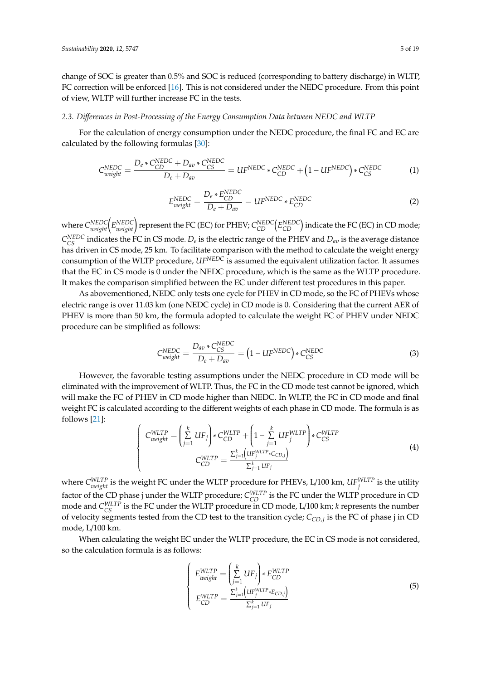change of SOC is greater than 0.5% and SOC is reduced (corresponding to battery discharge) in WLTP, FC correction will be enforced [\[16\]](#page-16-13). This is not considered under the NEDC procedure. From this point of view, WLTP will further increase FC in the tests.

#### *2.3. Di*ff*erences in Post-Processing of the Energy Consumption Data between NEDC and WLTP*

For the calculation of energy consumption under the NEDC procedure, the final FC and EC are calculated by the following formulas [\[30\]](#page-17-10):

$$
C_{weight}^{NEDC} = \frac{D_e * C_{CD}^{NEDC} + D_{av} * C_{CS}^{NEDC}}{D_e + D_{av}} = UF^{NEDC} * C_{CD}^{NEDC} + (1 - UF^{NEDC}) * C_{CS}^{NEDC}
$$
(1)

$$
E_{weight}^{NEDC} = \frac{D_e * E_{CD}^{NEDC}}{D_e + D_{av}} = UF^{NEDC} * E_{CD}^{NEDC}
$$
 (2)

where  $C^{NEDC}_{weight} \Big( E^{NEDC}_{weight} \Big)$  represent the FC (EC) for PHEV;  $C^{NEDC}_{CD} \Big( E^{NEDC}_{CD} \Big)$  indicate the FC (EC) in CD mode;  $C_{CS}^{NEDC}$  indicates the FC in CS mode.  $D_e$  is the electric range of the PHEV and  $D_{av}$  is the average distance has driven in CS mode, 25 km. To facilitate comparison with the method to calculate the weight energy consumption of the WLTP procedure, *UFNEDC* is assumed the equivalent utilization factor. It assumes that the EC in CS mode is 0 under the NEDC procedure, which is the same as the WLTP procedure. It makes the comparison simplified between the EC under different test procedures in this paper.

As abovementioned, NEDC only tests one cycle for PHEV in CD mode, so the FC of PHEVs whose electric range is over 11.03 km (one NEDC cycle) in CD mode is 0. Considering that the current AER of PHEV is more than 50 km, the formula adopted to calculate the weight FC of PHEV under NEDC procedure can be simplified as follows:

$$
C_{weight}^{NEDC} = \frac{D_{av} * C_{CS}^{NEDC}}{D_e + D_{av}} = (1 - UF^{NEDC}) * C_{CS}^{NEDC}
$$
\n(3)

However, the favorable testing assumptions under the NEDC procedure in CD mode will be eliminated with the improvement of WLTP. Thus, the FC in the CD mode test cannot be ignored, which will make the FC of PHEV in CD mode higher than NEDC. In WLTP, the FC in CD mode and final weight FC is calculated according to the different weights of each phase in CD mode. The formula is as follows [\[21\]](#page-17-3):

$$
\begin{cases}\nC_{weight}^{WLTP} = \left(\sum_{j=1}^{k} UF_j\right) * C_{CD}^{WLTP} + \left(1 - \sum_{j=1}^{k} UF_j^{WLTP}\right) * C_{CS}^{WLTP} \\
C_{CD}^{WLTP} = \frac{\sum_{j=1}^{k} (UF_j^{WLTP} * C_{CD,j})}{\sum_{j=1}^{k} UF_j}\n\end{cases}
$$
\n(4)

where  $C_{weight}^{WLTP}$  is the weight FC under the WLTP procedure for PHEVs, L/100 km,  $U F_{j}^{WLTP}$  is the utility factor of the CD phase j under the WLTP procedure;  $C_{CD}^{WLTP}$  is the FC under the WLTP procedure in CD mode and  $C_{CS}^{WLTP}$  is the FC under the WLTP procedure in CD mode, L/100 km; *k* represents the number of velocity segments tested from the CD test to the transition cycle; *CCD*,*<sup>j</sup>* is the FC of phase j in CD mode, L/100 km.

When calculating the weight EC under the WLTP procedure, the EC in CS mode is not considered, so the calculation formula is as follows:

$$
\begin{cases}\nE_{weight}^{WLTP} = \left(\sum_{j=1}^{k} UF_j\right) * E_{CD}^{WLTP} \\
E_{CD}^{WLTP} = \frac{\sum_{j=1}^{k} \left(UF_j^{WLTP} * E_{CD,j}\right)}{\sum_{j=1}^{k} UF_j}\n\end{cases}
$$
\n(5)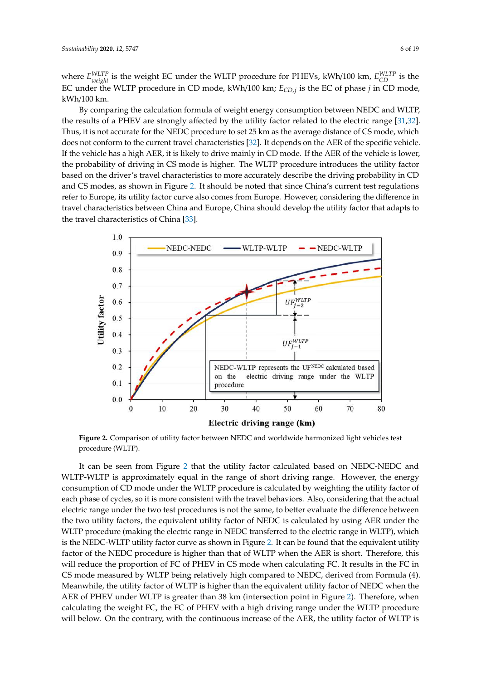where *E WLTP weight* is the weight EC under the WLTP procedure for PHEVs, kWh/100 km, *E WLTP CD* is the EC under the WLTP procedure in CD mode, kWh/100 km; *ECD*,*<sup>j</sup>* is the EC of phase *j* in CD mode, kWh/100 km.

By comparing the calculation formula of weight energy consumption between NEDC and WLTP, the results of a PHEV are strongly affected by the utility factor related to the electric range [\[31,](#page-17-11)[32\]](#page-17-12). Thus, it is not accurate for the NEDC procedure to set 25 km as the average distance of CS mode, which does not conform to the current travel characteristics [\[32\]](#page-17-12). It depends on the AER of the specific vehicle. If the vehicle has a high AER, it is likely to drive mainly in CD mode. If the AER of the vehicle is lower, the probability of driving in CS mode is higher. The WLTP procedure introduces the utility factor based on the driver's travel characteristics to more accurately describe the driving probability in CD and CS modes, as shown in Figure [2.](#page-5-0) It should be noted that since China's current test regulations refer to Europe, its utility factor curve also comes from Europe. However, considering the difference in travel characteristics between China and Europe, China should develop the utility factor that adapts to the travel characteristics of China [\[33\]](#page-17-13).

<span id="page-5-0"></span>

**Figure 2.** Comparison of utility factor between NEDC and worldwide harmonized light vehicles test **Figure 2.** Comparison of utility factor between NEDC and worldwide harmonized light vehicles test procedure (WLTP).

It can be seen from Figure 2 that the utility factor calculated based on NEDC-NEDC and WLTP-WLTP-WLTP is approximately equal in the range of short driving range. However, the energy WLTP is approximately equal in the range of short driving range. However, the energy consumption consumption of CD mode under the WLTP procedure is calculated by weighting the utility factor of each phase of cycles, so it is more consistent with the travel behaviors. Also, considering that the actual each phase of cycles, so it is more consistent with the travel behaviors. Also, considering that the actual electric range under the two test procedures is not the same, to better evaluate the difference between range under the two test procedures is not the same, to better evaluate the difference between the the two utility factors, the equivalent utility factor of NEDC is calculated by using AER under the Inc two utility factors, the equivalent utility factor of NEDC is calculated by using TER under the WLTP procedure (making the electric range in NEDC transferred to the electric range in WLTP), which werf procedure (making the electric range in NEDC transferred to the electric range in WETT), which is the NEDC-WLTP utility factor curve as shown in Figure [2.](#page-5-0) It can be found that the equivalent utility factor of the NEDC procedure is higher than that of WLTP when the AER is short. Therefore, this will reduce the proportion of FC of PHEV in CS mode when calculating FC. It results in the FC in When ceduce the proportion of FC of FHEV in CS mode when calculating FC. It results in the FC in CS mode measured by WLTP being relatively high compared to NEDC, derived from Formula (4). mode measured by WLTP being relatively high compared to NEDC, derived from formula (4). Meanwhile, the utility factor of WLTP is higher than the equivalent utility factor of NEDC when the Meanwhile, the atting factor of WLTP is higher than the equivalent atting factor of NEDC when the AER of PHEV under WLTP is greater than 38 km (intersection point in Figure [2\)](#page-5-0). Therefore, when FIER OFFILE V under WEIT is greater than 38 km (intersection point in Figure 2). Therefore, when calculating the weight FC, the FC of PHEV with a high driving range under the WLTP procedure calculating the weight FC, the FC of PHEV with a high driving range under the WLTP procedure will below. On the contrary, with the continuous increase of the AER, the utility factor of WLTP is will below. On the contrary, with the continuous increase of the AER, the utility factor of WLTP isIt can be seen from Figure [2](#page-5-0) that the utility factor calculated based on NEDC-NEDC and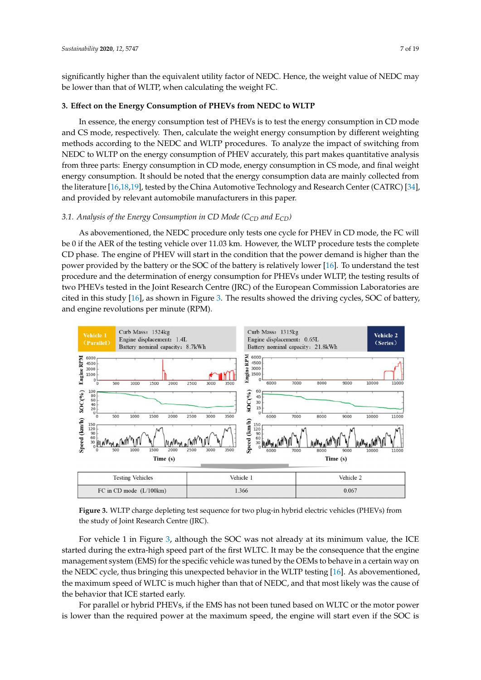significantly higher than the equivalent utility factor of NEDC. Hence, the weight value of NEDC may be lower than that of WLTP, when calculating the weight FC.

#### **3. E**ff**ect on the Energy Consumption of PHEVs from NEDC to WLTP**

In essence, the energy consumption test of PHEVs is to test the energy consumption in CD mode and CS mode, respectively. Then, calculate the weight energy consumption by different weighting methods according to the NEDC and WLTP procedures. To analyze the impact of switching from NEDC to WLTP on the energy consumption of PHEV accurately, this part makes quantitative analysis from three parts: Energy consumption in CD mode, energy consumption in CS mode, and final weight energy consumption. It should be noted that the energy consumption data are mainly collected from the literature [\[16](#page-16-13)[,18](#page-17-0)[,19\]](#page-17-1), tested by the China Automotive Technology and Research Center (CATRC) [\[34\]](#page-17-14),  $\frac{1}{2}$ and provided by relevant automobile manufacturers in this paper.

# *3.1. Analysis of the Energy Consumption in CD Mode (C<sub>CD</sub> and E<sub>CD</sub>)*

As abovementioned, the NEDC procedure only tests one cycle for PHEV in CD mode, the FC will be 0 if the AER of the testing vehicle over 11.03 km. However, the WLTP procedure tests the complete CD phase. The engine of PHEV will start in the condition that the power demand is higher than the power provided by the battery or the SOC of the battery is relatively lower [\[16\]](#page-16-13). To understand the test procedure and the determination of energy consumption for PHEVs under WLTP, the testing results of two PHEVs tested in the Joint Research Centre (JRC) of the European Commission Laboratories are cited in this study [\[16\]](#page-16-13), as shown in Figure [3.](#page-6-0) The results showed the driving cycles, SOC of battery, and engine revolutions per minute (RPM). and opens revolutions per minute  $(PDA)$ 

<span id="page-6-0"></span>

**Figure 3.** WLTP charge depleting test sequence for two plug-in hybrid electric vehicles (PHEVs) **Figure 3.** WLTP charge depleting test sequence for two plug-in hybrid electric vehicles (PHEVs) from  $f(x)$ the study of Joint Research Centre (JRC).

started during the extra-high speed part of the first WLTC. It may be the consequence that the engine management system (EMS) for the specific vehicle was tuned by the OEMs to behave in a certain way on the NEDC cycle, thus bringing this unexpected behavior in the WLTP testing [\[16\]](#page-16-13). As abovementioned,  $\alpha$  the New type  $\alpha$  and  $\alpha$  is uncher the NEDC and that meet likely we the gauge of the maximum speed of WLTC is much higher than that of NEDC, and that most likely was the cause of<br>the behavior that ICE started early For vehicle 1 in Figure [3,](#page-6-0) although the SOC was not already at its minimum value, the ICE the behavior that ICE started early.

For parallel or hybrid PHEVs, if the EMS has not been tuned based on WLTC or the motor power is lower than the required power at the maximum speed, the engine will start even if the SOC is is lower than the required power at the maximum speed, the engine will start even if the SOC is not the SOC is not the SOC is not the SOC is not the SOC is not the SOC is not the SOC is not the SOC is not the SOC is not t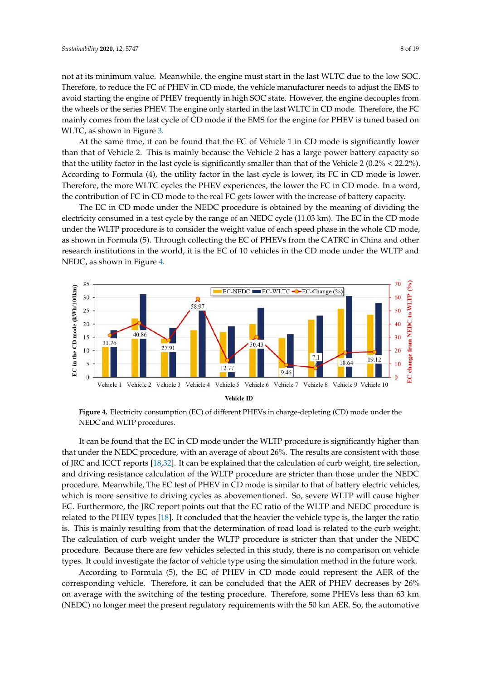not at its minimum value. Meanwhile, the engine must start in the last WLTC due to the low SOC. Therefore, to reduce the FC of PHEV in CD mode, the vehicle manufacturer needs to adjust the EMS to avoid starting the engine of PHEV frequently in high SOC state. However, the engine decouples from the wheels or the series PHEV. The engine only started in the last WLTC in CD mode. Therefore, the FC mainly comes from the last cycle of CD mode if the EMS for the engine for PHEV is tuned based on WLTC, as shown in Figure [3.](#page-6-0)

At the same time, it can be found that the FC of Vehicle 1 in CD mode is significantly lower than that of Vehicle 2. This is mainly because the Vehicle 2 has a large power battery capacity so that the utility factor in the last cycle is significantly smaller than that of the Vehicle 2 (0.2% < 22.2%). According to Formula (4), the utility factor in the last cycle is lower, its FC in CD mode is lower. Therefore, the more WLTC cycles the PHEV experiences, the lower the FC in CD mode. In a word, the contribution of FC in CD mode to the real FC gets lower with the increase of battery capacity.

The EC in CD mode under the NEDC procedure is obtained by the meaning of dividing the electricity consumed in a test cycle by the range of an NEDC cycle (11.03 km). The EC in the CD mode under the WLTP procedure is to consider the weight value of each speed phase in the whole CD mode, as shown in Formula (5). Through collecting the EC of PHEVs from the CATRC in China and other research institutions in the world, it is the EC of 10 vehicles in the CD mode under the WLTP and NEDC, as shown [in](#page-7-0) Figure 4.

<span id="page-7-0"></span>

**Figure 4.** Electricity consumption (EC) of different PHEVs in charge-depleting (CD) mode under the **Figure 4.** Electricity consumption (EC) of different PHEVs in charge-depleting (CD) mode under the NEDC and WLTP procedures.

It can be found that the EC in CD mode under the WLTP procedure is significantly higher than It can be found that the EC in CD mode under the WLTP procedure is significantly higher than that under the NEDC procedure, with an average of about 26%. The results are consistent with those that under the NEDC procedure, with an average of about 26%. The results are consistent with those of JRC and ICCT reports [\[18,](#page-17-0)[32\]](#page-17-12). It can be explained that the calculation of curb weight, tire selection, and driving resistance calculation of the WLTP procedure are stricter than those under the NEDC and driving resistance calculation of the WLTP procedure are stricter than those under the NEDC procedure. Meanwhile, The EC test of PHEV in CD mode is similar to that of battery electric vehicles, procedure. Meanwhile, The EC test of PHEV in CD mode is similar to that of battery electric vehicles, which is more sensitive to driving cycles as abovementioned. So, severe WLTP will cause higher EC. Furthermore, the JRC report points out that the EC ratio of the WLTP and NEDC procedure is related to the PHEV types [\[18\]](#page-17-0). It concluded that the heavier the vehicle type is, the larger the ratio is. This is mainly resulting from that the determination of road load is related to the curb weight. calculation of contraction of curb weight under the WLTP procedure is stricted than the NEDC procedure is stricter than the NEDC procedure is stricted to the NEDC procedure is stricted to the NEDC procedure. In the NEDC pr The calculation of curb weight under the WLTP procedure is stricter than that under the NEDC procedure. Because there are few vehicles selected in this study, there is no comparison on vehicle types. It could investigate the factor of vehicle type using the simulation method in the future work.

According to Formula (5), the EC of PHEV in CD mode could represent the AER of the corresponding vehicle. Therefore, it can be concluded that the AER of PHEV decreases by  $26\%$ on average with the switching of the testing procedure. Therefore, some PHEVs less than 63 km (NEDC) no longer meet the present regulatory requirements with the 50 km AER. So, the automotive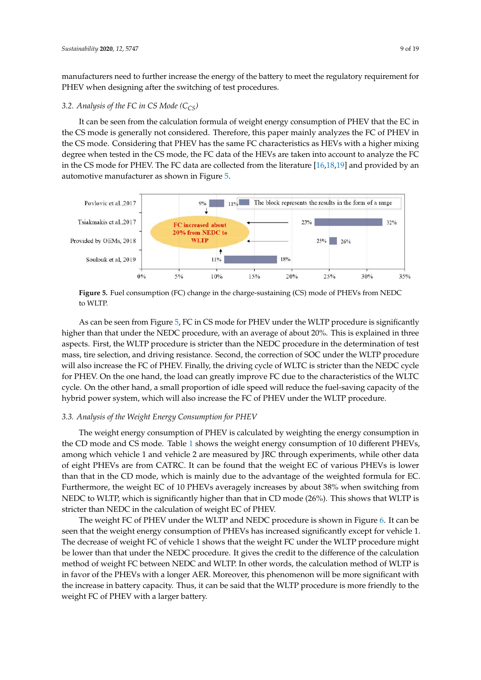manufacturers need to further increase the energy of the battery to meet the regulatory requirement for PHEV when designing after the switching of test procedures.

#### *3.2. Analysis of the FC in CS Mode (CCS)*

It can be seen from the calculation formula of weight energy consumption of PHEV that the EC in the CS mode is generally not considered. Therefore, this paper mainly analyzes the FC of PHEV in the CS mode. Considering that PHEV has the same FC characteristics as HEVs with a higher mixing degree when tested in the CS mode, the FC data of the HEVs are taken into account to analyze the FC in the CS mode for PHEV. The FC data are collected from the literature [\[16,](#page-16-13)[18](#page-17-0)[,19\]](#page-17-1) and provided by an automotive manufacturer as shown in Figure [5.](#page-8-0)

<span id="page-8-0"></span>

**Figure 5.** Fuel consumption (FC) change in the charge-sustaining (CS) mode of PHEVs from NEDC **Figure 5.** Fuel consumption (FC) change in the charge-sustaining (CS) mode of PHEVs from NEDC to WLTP.

As can be seen from Figure 5, FC in CS mode for PHEV under the WLTP procedure is As can be seen from Figure [5,](#page-8-0) FC in CS mode for PHEV under the WLTP procedure is significantly higher than that under the NEDC procedure, with an average of about 20%. This is explained in three aspects. First, the WLTP procedure is stricter than the NEDC procedure in the determination of test mass, tire selection, and driving resistance. Second, the correction of SOC under the WLTP procedure will also increase the FC of PHEV. Finally, the driving cycle of WLTC is stricter than the NEDC cycle for PHEV. On the one hand, the load can greatly improve FC due to the characteristics of the WLTC cycle. On the other hand, a small proportion of idle speed will reduce the fuel-saving capacity of the hybrid power system, which will also increase the FC of PHEV under the WLTP procedure.

#### *3.3. Analysis of the Weight Energy Consumption for PHEV*

*3.3. Analysis of the Weight Energy Consumption for PHEV*  The weight energy consumption of PHEV is calculated by weighting the energy consumption in the CD mode and CS mode. Table 1 shows the weight energy consumpti[on](#page-9-0) of 10 different PHEVs, among which vehicle 1 and vehicle 2 are measured by JRC through experiments, while other data of eight PHEVs are from CATRC. It can be found that the weight EC of various PHEVs is lower than that in the CD mode, which is mainly due to the advantage of the weighted formula for EC. Furthermore, the weight EC of 10 PHEVs averagely increases by about 38% when switching from NEDC to WLTP, which is significantly higher than that in CD mode (26%). This shows that WLTP is stricter than NEDC in the calculation of weight EC of PHEV.

The weight FC of PHEV under the WLTP and NEDC procedure is shown in Figure [6.](#page-9-1) It can be seen that the weight energy consumption of PHEVs has increased significantly except for vehicle 1. be lower than that under the NEDC procedure. It gives the credit to the difference of the calculation<br>method of weight FC between NEDC and WLTP. In other words, the calculation method of WLTP is in favor of the PHEVs with a longer AER. Moreover, this phenomenon will be more significant with (a) **(b)**  $\frac{1}{2}$  **(b)**  $\frac{1}{2}$  **(b)**  $\frac{1}{2}$  **(b)**  $\frac{1}{2}$  **(b)**  $\frac{1}{2}$  **(b)**  $\frac{1}{2}$  **(b)**  $\frac{1}{2}$  **(b)**  $\frac{1}{2}$  **(b)**  $\frac{1}{2}$  **(d)**  $\frac{1}{2}$  **(d)**  $\frac{1}{2}$  **(d)**  $\frac{1}{2}$  **(d)**  $\frac{1}{2}$  **(d)**  $\frac{$ be lower than that under the NEDC procedure. It gives the credit to the difference of the calculation MIT T  $r \circ \circ \circ$  $\ddot{\phantom{a}}$ n<br>iro fri  $\overline{AB}$ the increase in battery capacity. Thus, it can be said that the WLTP procedure is more friendly to the<br>weight EC of PHEV with a larger battery.  $\delta$ <sup>1315</sup> 2.65 21.8 161.9  $\delta$ <sup>21.8</sup> 161.97 The decrease of weight FC of vehicle 1 shows that the weight FC under the WLTP procedure might weight FC of PHEV with a larger battery.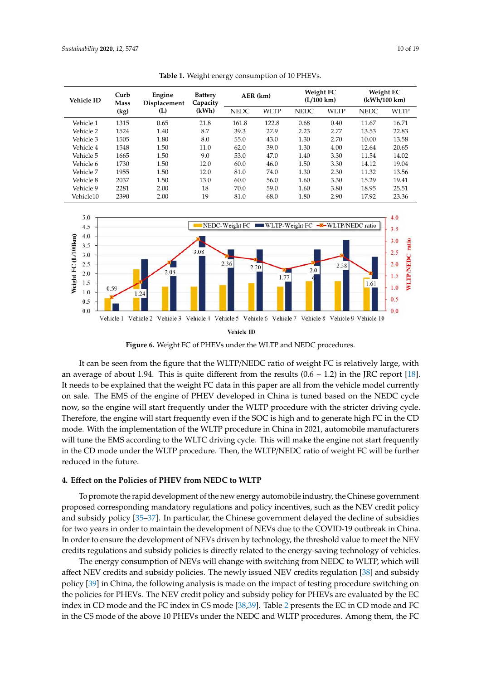| $\check{ }$<br>$\checkmark$ |                     |                               |                            |             |             |                                          |             |                           |       |
|-----------------------------|---------------------|-------------------------------|----------------------------|-------------|-------------|------------------------------------------|-------------|---------------------------|-------|
| <b>Vehicle ID</b>           | Curb<br><b>Mass</b> | Engine<br><b>Displacement</b> | <b>Battery</b><br>Capacity | AER (km)    |             | <b>Weight FC</b><br>$(L/100 \text{ km})$ |             | Weight EC<br>(kWh/100 km) |       |
|                             | (kg)                | (L)                           | (kWh)                      | <b>NEDC</b> | <b>WLTP</b> | <b>NEDC</b>                              | <b>WLTP</b> | <b>NEDC</b>               | WLTP  |
| Vehicle 1                   | 1315                | 0.65                          | 21.8                       | 161.8       | 122.8       | 0.68                                     | 0.40        | 11.67                     | 16.71 |
| Vehicle 2                   | 1524                | 1.40                          | 8.7                        | 39.3        | 27.9        | 2.23                                     | 2.77        | 13.53                     | 22.83 |
| Vehicle 3                   | 1505                | 1.80                          | 8.0                        | 55.0        | 43.0        | 1.30                                     | 2.70        | 10.00                     | 13.58 |
| Vehicle 4                   | 1548                | 1.50                          | 11.0                       | 62.0        | 39.0        | 1.30                                     | 4.00        | 12.64                     | 20.65 |
| Vehicle 5                   | 1665                | 1.50                          | 9.0                        | 53.0        | 47.0        | 1.40                                     | 3.30        | 11.54                     | 14.02 |
| Vehicle 6                   | 1730                | 1.50                          | 12.0                       | 60.0        | 46.0        | 1.50                                     | 3.30        | 14.12                     | 19.04 |
| Vehicle 7                   | 1955                | 1.50                          | 12.0                       | 81.0        | 74.0        | 1.30                                     | 2.30        | 11.32                     | 13.56 |
| Vehicle 8                   | 2037                | 1.50                          | 13.0                       | 60.0        | 56.0        | 1.60                                     | 3.30        | 15.29                     | 19.41 |
| Vehicle 9                   | 2281                | 2.00                          | 18                         | 70.0        | 59.0        | 1.60                                     | 3.80        | 18.95                     | 25.51 |
| Vehicle10                   | 2390                | 2.00                          | 19                         | 81.0        | 68.0        | 1.80                                     | 2.90        | 17.92                     | 23.36 |

<span id="page-9-0"></span>Table 1. Weight energy consumption of 10 PHEVs.

<span id="page-9-1"></span>

**Figure 6.** Weight FC of PHEVs under the WLTP and NEDC procedures. **Figure 6.** Weight FC of PHEVs under the WLTP and NEDC procedures.

It can be seen from the figure that the WLTP/NEDC ratio of weight FC is relatively large*,* with It needs to be explained that the weight FC data in this paper are all from the vehicle model currently  $\frac{1}{2}$  government proposed corresponding mandatory regulations and policy incentives, such as the NEVC on sale. The EMS of the engine of PHEV developed in China is tuned based on the NEDC cycle of subsidies for two years in order to maintain the development of NEVs due to the COVID-19 now, so the engine will start frequently under the WLTP procedure with the stricter driving cycle. Therefore, the engine will start frequently even if the SOC is high and to generate high FC in the CD mode. With the implementation of the WLTP procedure in China in 2021, automobile manufacturers will tune the EMS according to the WLTC driving cycle. This will make the engine not start frequently in the CD mode under the WLTP procedure. Then, the WLTP/NEDC ratio of weight FC will be further reduced in the future. The newly issued NEV credits regulation  $\mathbb{R}$  and subsidiary  $\mathbb{R}$  and subsidiary  $\mathbb{R}$  and subsidiary  $\mathbb{R}$  and subsidiary  $\mathbb{R}$  and subsidiary  $\mathbb{R}$  and subsidiary  $\mathbb{R}$  and su an average of about 1.94. This is quite different from the results (0.6  $\sim$  1.2) in the JRC report [\[18\]](#page-17-0).

### policy [39] in China, the following analysis is made on the impact of testing procedure switching on the policies for PHEVs. The NEV credit policy and subsidy policy for PHEVs are evaluated by the EC **4. E**ff**ect on the Policies of PHEV from NEDC to WLTP**

To promote the rapid development of the new energy automobile industry, the Chinese government proposed corresponding mandatory regulations and policy incentives, such as the NEV credit policy and subsidy policy [\[35–](#page-17-15)[37\]](#page-17-16). In particular, the Chinese government delayed the decline of subsidies for two years in order to maintain the development of NEVs due to the COVID-19 outbreak in China. In order to ensure the development of NEVs driven by technology, the threshold value to meet the NEV **Table 2.** EC in CD mode and FC in CS mode of different PHEVs under the NEDC and WLTP credits regulations and subsidy policies is directly related to the energy-saving technology of vehicles.

The energy consumption of NEVs will change with switching from NEDC to WLTP, which will policy [\[39\]](#page-18-0) in China, the following analysis is made on the impact of testing procedure switching on the policies for PHEVs. The NEV credit policy and subsidy policy for PHEVs are evaluated by the EC affect NEV credits and subsidy policies. The newly issued NEV credits regulation [\[38\]](#page-17-17) and subsidy index in CD mode and the FC index in CS mode [\[38](#page-17-17)[,39\]](#page-18-0). Table [2](#page-10-0) presents the EC in CD mode and FC in the CS mode of the above 10 PHEVs under the NEDC and WLTP procedures. Among them, the FC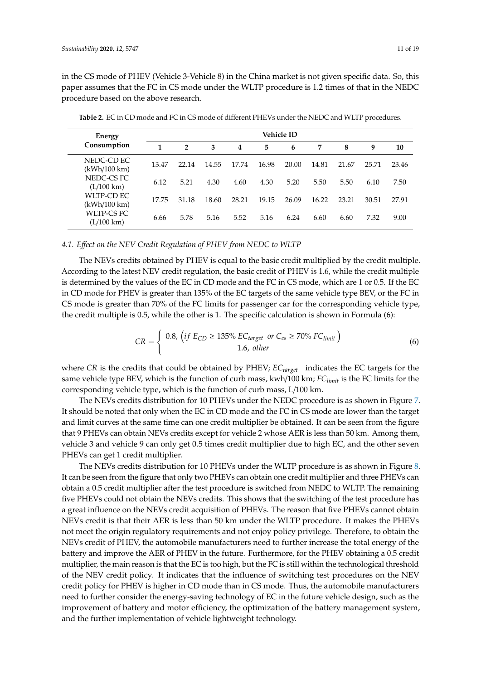in the CS mode of PHEV (Vehicle 3-Vehicle 8) in the China market is not given specific data. So, this paper assumes that the FC in CS mode under the WLTP procedure is 1.2 times of that in the NEDC procedure based on the above research.

| Energy                             | Vehicle ID |                |       |       |       |       |       |       |       |       |
|------------------------------------|------------|----------------|-------|-------|-------|-------|-------|-------|-------|-------|
| Consumption                        | 1          | $\overline{2}$ | 3     | 4     | 5     | 6     | 7     | 8     | 9     | 10    |
| NEDC-CD EC<br>(kWh/100 km)         | 13.47      | 22.14          | 14.55 | 17.74 | 16.98 | 20.00 | 14.81 | 21.67 | 25.71 | 23.46 |
| NEDC-CS FC<br>$(L/100 \text{ km})$ | 6.12       | 5.21           | 4.30  | 4.60  | 4.30  | 5.20  | 5.50  | 5.50  | 6.10  | 7.50  |
| WLTP-CD EC<br>(kWh/100 km)         | 17.75      | 31.18          | 18.60 | 28.21 | 19.15 | 26.09 | 16.22 | 23.21 | 30.51 | 27.91 |
| WLTP-CS FC<br>$(L/100 \text{ km})$ | 6.66       | 5.78           | 5.16  | 5.52  | 5.16  | 6.24  | 6.60  | 6.60  | 7.32  | 9.00  |

<span id="page-10-0"></span>**Table 2.** EC in CD mode and FC in CS mode of different PHEVs under the NEDC and WLTP procedures.

### *4.1. E*ff*ect on the NEV Credit Regulation of PHEV from NEDC to WLTP*

The NEVs credits obtained by PHEV is equal to the basic credit multiplied by the credit multiple. According to the latest NEV credit regulation, the basic credit of PHEV is 1.6, while the credit multiple is determined by the values of the EC in CD mode and the FC in CS mode, which are 1 or 0.5. If the EC in CD mode for PHEV is greater than 135% of the EC targets of the same vehicle type BEV, or the FC in CS mode is greater than 70% of the FC limits for passenger car for the corresponding vehicle type, the credit multiple is 0.5, while the other is 1. The specific calculation is shown in Formula (6):

$$
CR = \begin{cases} \n0.8, \left( \text{if } E_{CD} \ge 135\% \, EC_{target} \text{ or } C_{cs} \ge 70\% \, FC_{limit} \right) \\ \n1.6, \, other \n\end{cases} \tag{6}
$$

where *CR* is the credits that could be obtained by PHEV; *ECtarget* indicates the EC targets for the same vehicle type BEV, which is the function of curb mass, kwh/100 km; *FClimit* is the FC limits for the corresponding vehicle type, which is the function of curb mass, L/100 km.

The NEVs credits distribution for 10 PHEVs under the NEDC procedure is as shown in Figure [7.](#page-11-0) It should be noted that only when the EC in CD mode and the FC in CS mode are lower than the target and limit curves at the same time can one credit multiplier be obtained. It can be seen from the figure that 9 PHEVs can obtain NEVs credits except for vehicle 2 whose AER is less than 50 km. Among them, vehicle 3 and vehicle 9 can only get 0.5 times credit multiplier due to high EC, and the other seven PHEVs can get 1 credit multiplier.

The NEVs credits distribution for 10 PHEVs under the WLTP procedure is as shown in Figure [8.](#page-11-1) It can be seen from the figure that only two PHEVs can obtain one credit multiplier and three PHEVs can obtain a 0.5 credit multiplier after the test procedure is switched from NEDC to WLTP. The remaining five PHEVs could not obtain the NEVs credits. This shows that the switching of the test procedure has a great influence on the NEVs credit acquisition of PHEVs. The reason that five PHEVs cannot obtain NEVs credit is that their AER is less than 50 km under the WLTP procedure. It makes the PHEVs not meet the origin regulatory requirements and not enjoy policy privilege. Therefore, to obtain the NEVs credit of PHEV, the automobile manufacturers need to further increase the total energy of the battery and improve the AER of PHEV in the future. Furthermore, for the PHEV obtaining a 0.5 credit multiplier, the main reason is that the EC is too high, but the FC is still within the technological threshold of the NEV credit policy. It indicates that the influence of switching test procedures on the NEV credit policy for PHEV is higher in CD mode than in CS mode. Thus, the automobile manufacturers need to further consider the energy-saving technology of EC in the future vehicle design, such as the improvement of battery and motor efficiency, the optimization of the battery management system, and the further implementation of vehicle lightweight technology.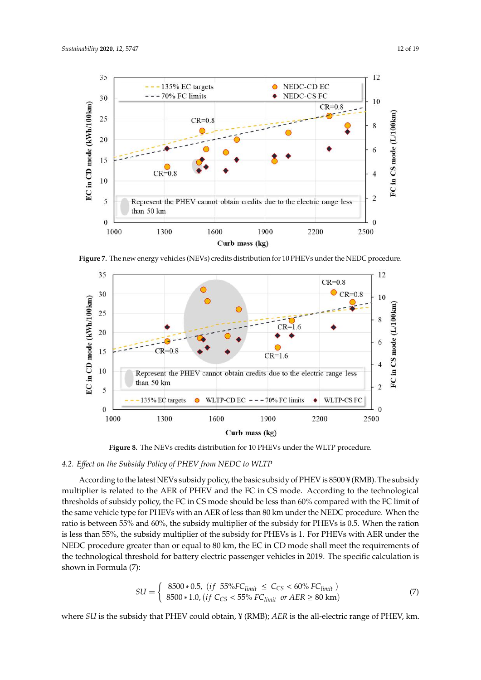<span id="page-11-0"></span>

**Figure 7.** The new energy vehicles (NEVs) credits distribution for 10 PHEVs under the NEDC **Figure 7.** The new energy vehicles (NEVs) credits distribution for 10 PHEVs under the NEDC procedure. Curb mass (kg) vehicle design, such as the improvement of battery and motor efficiency, the optimization of the

 $p_1000$  1300  $1600$  1900  $2200$   $2500$ 

<span id="page-11-1"></span>

**Figure 8.** The NEVs credits distribution for 10 PHEVs under the WLTP procedure. **Figure 8.** The NEVs credits distribution for 10 PHEVs under the WLTP procedure.

# *4.2. Effect on the Subsidy Policy of PHEV from NEDC to WLTP 4.2. E*ff*ect on the Subsidy Policy of PHEV from NEDC to WLTP*

multiplier is related to the AER of PHEV and the FC in CS mode. According to the technological subsidy multiplier is related to the AER of PHEV and the FC in CS mode. According to the thresholds of subsidy policy, the FC in CS mode should be less than 60% compared with the FC limit of thresholds of subsidy policy, the FC in CS mode should be less than 60% compared with the FC innit of the same vehicle type for PHEVs with an AER of less than 80 km under the NEDC procedure. When the ratio is between 55% and 60%, the subsidy multiplier of the subsidy for PHEVs is 0.5. When the ration ratio is is less than 55%, the subsidy multiplier of the subsidy for PHEVs is 1. For PHEVs with AER under the If the ration is less than 55%, the subsidy multiplier of the subsidy for PHEVS is 1. For PHEVS with FIER under the Reflection NEDC procedure greater than or equal to 80 km, the EC in CD mode shall meet the requirements of  $\frac{P}{P}$  are procedure greater than or equal to 80 km, the EC in CD mode procedure greater than or equal to 80 km. the technological threshold for battery electric passenger vehicles in 2019. The specific calculation is  $\Gamma$  $\mathop{\mathrm{shown}}$  in Formula (7): According to the latest NEVs subsidy policy, the basic subsidy of PHEV is 8500 ¥ (RMB). The subsidy

$$
SU = \begin{cases} 8500 * 0.5, & (if 55%FC_{limit} \le C_{CS} < 60\% FC_{limit}) \\ 8500 * 1.0, & (if C_{CS} < 55\% FC_{limit} \text{ or } AER \ge 80 \text{ km}) \end{cases} \tag{7}
$$

where *SU* is the subsidy that PHEV could obtain, ¥ (RMB); *AER* is the all-electric range of PHEV, km.  $T_{\rm eff}$  is shown in 10 PHEVs under the NEDC and WLTP procedure is shown in  $\sim$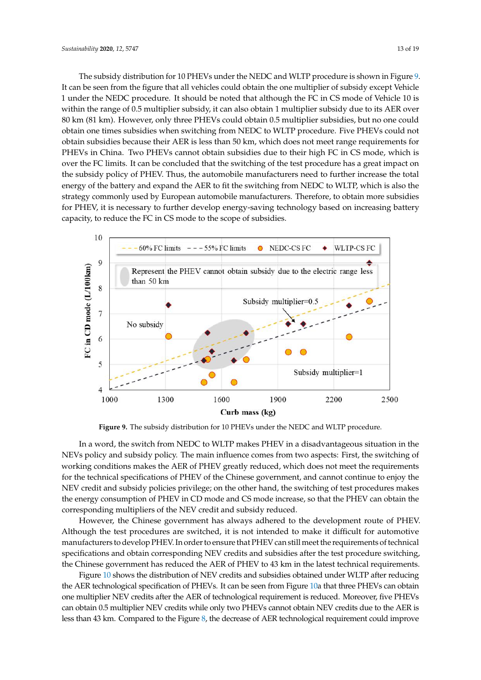The subsidy distribution for 10 PHEVs under the NEDC and WLTP procedure is shown in Figure [9.](#page-12-0) It can be seen from the figure that all vehicles could obtain the one multiplier of subsidy except Vehicle 1 under the NEDC procedure. It should be noted that although the FC in CS mode of Vehicle 10 is within the range of 0.5 multiplier subsidy, it can also obtain 1 multiplier subsidy due to its AER over 80 km (81 km). However, only three PHEVs could obtain 0.5 multiplier subsidies, but no one could obtain one times subsidies when switching from NEDC to WLTP procedure. Five PHEVs could not obtain subsidies because their AER is less than 50 km, which does not meet range requirements for PHEVs in China. Two PHEVs cannot obtain subsidies due to their high FC in CS mode, which is over the FC limits. It can be concluded that the switching of the test procedure has a great impact on the subsidy policy of PHEV. Thus, the automobile manufacturers need to further increase the total energy of the battery and expand the AER to fit the switching from NEDC to WLTP, which is also the strategy commonly used by European automobile manufacturers. Therefore, to obtain more subsidies for PHEV, it is necessary to further develop energy-saving technology based on increasing battery capacity, to reduce the FC in CS mode to the scope of subsidies.

<span id="page-12-0"></span>

**Figure 9.** The subsidy distribution for 10 PHEVs under the NEDC and WLTP procedure. **Figure 9.** The subsidy distribution for 10 PHEVs under the NEDC and WLTP procedure.

NEVs policy and subsidy policy. The main influence comes from two aspects: First, the switching of working conditions makes the AER of PHEV greatly reduced, which does not meet the requirements for the technical specifications of PHEV of the Chinese government, and cannot continue to enjoy the NEV credit and subsidy policies privilege; on the other hand, the switching of test procedures makes the energy consumption of PHEV in CD mode and CS mode increase, so that the PHEV can obtain the corresponding multipliers of the NEV credit and subsidy reduced. In a word, the switch from NEDC to WLTP makes PHEV in a disadvantageous situation in the

However, the Chinese government has always adhered to the development route of PHEV. Although the test procedures are switched, it is not intended to make it difficult for automotive manufacturers to develop PHEV. In order to ensure that PHEV can still meet the requirements of technical specifications and obtain corresponding NEV credits and subsidies after the test procedure switching, the Chinese government has reduced the AER of PHEV to 43 km in the latest technical requirements.

Figure [10](#page-13-0) shows the distribution of NEV credits and subsidies obtained under WLTP after reducing the AER technological specification of PHEVs. It can be seen from Figure [10a](#page-13-0) that three PHEVs can obtain one multiplier NEV credits after the AER of technological requirement is reduced. Moreover, five PHEVs can obtain 0.5 multiplier NEV credits while only two PHEVs cannot obtain NEV credits due to the AER is less than 43 km. Compared to the Figure [8,](#page-11-1) the decrease of AER technological requirement could improve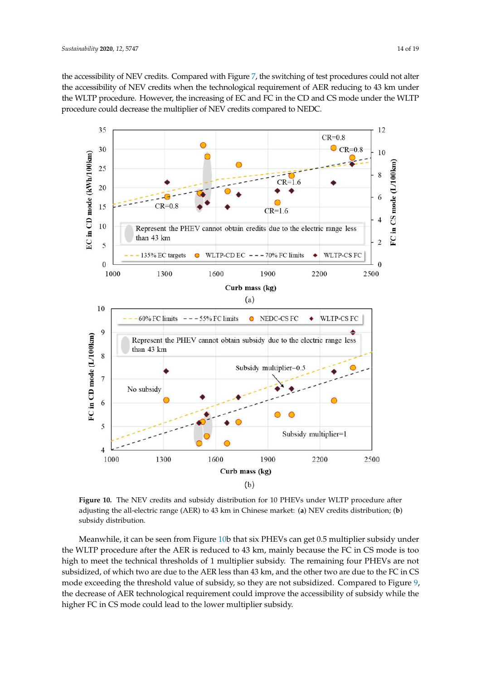the accessibility of NEV credits. Compared with Figure [7,](#page-11-0) the switching of test procedures could not alter the accessibility of NEV credits when the technological requirement of AER reducing to 43 km under the WLTP procedure. However, the increasing of EC and FC in the CD and CS mode under the WLTP procedure could decrease the multiplier of NEV credits compared to NEDC.

<span id="page-13-0"></span>

**Figure 10.** The NEV credits and subsidy distribution for 10 PHEVs under WLTP procedure after **Figure 10.** The NEV credits and subsidy distribution for 10 PHEVs under WLTP procedure after adjusting the all-electric range (AER) to 43 km in Chinese market: (a) NEV credits distribution; (b) subsidy distribution. subsidy distribution.

Meanwhile, it can be seen from Figure [10b](#page-13-0) that six PHEVs can get 0.5 multiplier subsidy under the WLTP procedure after the AER is reduced to 43 km, mainly because the FC in CS mode is too high to meet the technical thresholds of 1 multiplier subsidy. The remaining four PHEVs are not subsidized, of which two are due to the AER less than 43 km, and the other two are due to the FC in CS mode exceeding the threshold value of subsidy, so they are not subsidized. Compared to Figure [9,](#page-12-0) the decrease of AER technological requirement could improve the accessibility of subsidy while the higher FC in CS mode could lead to the lower multiplier subsidy.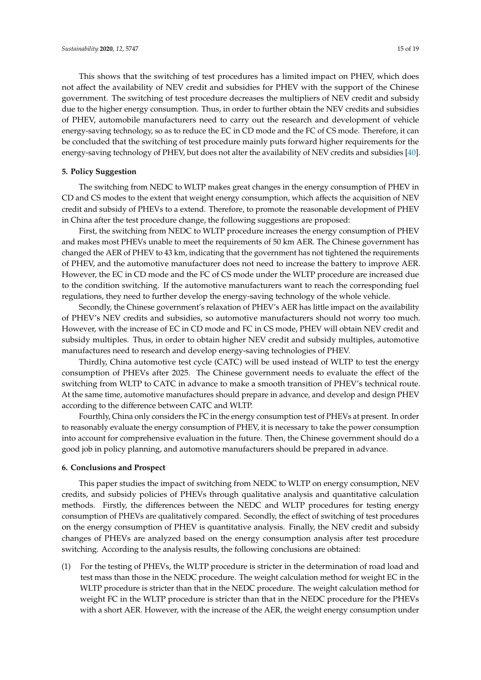This shows that the switching of test procedures has a limited impact on PHEV, which does not affect the availability of NEV credit and subsidies for PHEV with the support of the Chinese government. The switching of test procedure decreases the multipliers of NEV credit and subsidy due to the higher energy consumption. Thus, in order to further obtain the NEV credits and subsidies of PHEV, automobile manufacturers need to carry out the research and development of vehicle energy-saving technology, so as to reduce the EC in CD mode and the FC of CS mode. Therefore, it can be concluded that the switching of test procedure mainly puts forward higher requirements for the energy-saving technology of PHEV, but does not alter the availability of NEV credits and subsidies [\[40\]](#page-18-1).

## **5. Policy Suggestion**

The switching from NEDC to WLTP makes great changes in the energy consumption of PHEV in CD and CS modes to the extent that weight energy consumption, which affects the acquisition of NEV credit and subsidy of PHEVs to a extend. Therefore, to promote the reasonable development of PHEV in China after the test procedure change, the following suggestions are proposed:

First, the switching from NEDC to WLTP procedure increases the energy consumption of PHEV and makes most PHEVs unable to meet the requirements of 50 km AER. The Chinese government has changed the AER of PHEV to 43 km, indicating that the government has not tightened the requirements of PHEV, and the automotive manufacturer does not need to increase the battery to improve AER. However, the EC in CD mode and the FC of CS mode under the WLTP procedure are increased due to the condition switching. If the automotive manufacturers want to reach the corresponding fuel regulations, they need to further develop the energy-saving technology of the whole vehicle.

Secondly, the Chinese government's relaxation of PHEV's AER has little impact on the availability of PHEV's NEV credits and subsidies, so automotive manufacturers should not worry too much. However, with the increase of EC in CD mode and FC in CS mode, PHEV will obtain NEV credit and subsidy multiples. Thus, in order to obtain higher NEV credit and subsidy multiples, automotive manufactures need to research and develop energy-saving technologies of PHEV.

Thirdly, China automotive test cycle (CATC) will be used instead of WLTP to test the energy consumption of PHEVs after 2025. The Chinese government needs to evaluate the effect of the switching from WLTP to CATC in advance to make a smooth transition of PHEV's technical route. At the same time, automotive manufactures should prepare in advance, and develop and design PHEV according to the difference between CATC and WLTP.

Fourthly, China only considers the FC in the energy consumption test of PHEVs at present. In order to reasonably evaluate the energy consumption of PHEV, it is necessary to take the power consumption into account for comprehensive evaluation in the future. Then, the Chinese government should do a good job in policy planning, and automotive manufacturers should be prepared in advance.

#### **6. Conclusions and Prospect**

This paper studies the impact of switching from NEDC to WLTP on energy consumption, NEV credits, and subsidy policies of PHEVs through qualitative analysis and quantitative calculation methods. Firstly, the differences between the NEDC and WLTP procedures for testing energy consumption of PHEVs are qualitatively compared. Secondly, the effect of switching of test procedures on the energy consumption of PHEV is quantitative analysis. Finally, the NEV credit and subsidy changes of PHEVs are analyzed based on the energy consumption analysis after test procedure switching. According to the analysis results, the following conclusions are obtained:

(1) For the testing of PHEVs, the WLTP procedure is stricter in the determination of road load and test mass than those in the NEDC procedure. The weight calculation method for weight EC in the WLTP procedure is stricter than that in the NEDC procedure. The weight calculation method for weight FC in the WLTP procedure is stricter than that in the NEDC procedure for the PHEVs with a short AER. However, with the increase of the AER, the weight energy consumption under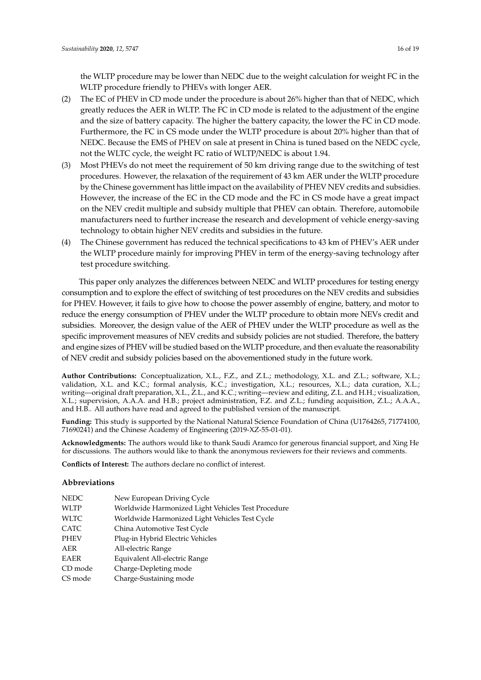the WLTP procedure may be lower than NEDC due to the weight calculation for weight FC in the WLTP procedure friendly to PHEVs with longer AER.

- (2) The EC of PHEV in CD mode under the procedure is about 26% higher than that of NEDC, which greatly reduces the AER in WLTP. The FC in CD mode is related to the adjustment of the engine and the size of battery capacity. The higher the battery capacity, the lower the FC in CD mode. Furthermore, the FC in CS mode under the WLTP procedure is about 20% higher than that of NEDC. Because the EMS of PHEV on sale at present in China is tuned based on the NEDC cycle, not the WLTC cycle, the weight FC ratio of WLTP/NEDC is about 1.94.
- (3) Most PHEVs do not meet the requirement of 50 km driving range due to the switching of test procedures. However, the relaxation of the requirement of 43 km AER under the WLTP procedure by the Chinese government has little impact on the availability of PHEV NEV credits and subsidies. However, the increase of the EC in the CD mode and the FC in CS mode have a great impact on the NEV credit multiple and subsidy multiple that PHEV can obtain. Therefore, automobile manufacturers need to further increase the research and development of vehicle energy-saving technology to obtain higher NEV credits and subsidies in the future.
- (4) The Chinese government has reduced the technical specifications to 43 km of PHEV's AER under the WLTP procedure mainly for improving PHEV in term of the energy-saving technology after test procedure switching.

This paper only analyzes the differences between NEDC and WLTP procedures for testing energy consumption and to explore the effect of switching of test procedures on the NEV credits and subsidies for PHEV. However, it fails to give how to choose the power assembly of engine, battery, and motor to reduce the energy consumption of PHEV under the WLTP procedure to obtain more NEVs credit and subsidies. Moreover, the design value of the AER of PHEV under the WLTP procedure as well as the specific improvement measures of NEV credits and subsidy policies are not studied. Therefore, the battery and engine sizes of PHEV will be studied based on the WLTP procedure, and then evaluate the reasonability of NEV credit and subsidy policies based on the abovementioned study in the future work.

**Author Contributions:** Conceptualization, X.L., F.Z., and Z.L.; methodology, X.L. and Z.L.; software, X.L.; validation, X.L. and K.C.; formal analysis, K.C.; investigation, X.L.; resources, X.L.; data curation, X.L.; writing—original draft preparation, X.L., Z.L., and K.C.; writing—review and editing, Z.L. and H.H.; visualization, X.L.; supervision, A.A.A. and H.B.; project administration, F.Z. and Z.L.; funding acquisition, Z.L.; A.A.A., and H.B.. All authors have read and agreed to the published version of the manuscript.

**Funding:** This study is supported by the National Natural Science Foundation of China (U1764265, 71774100, 71690241) and the Chinese Academy of Engineering (2019-XZ-55-01-01).

**Acknowledgments:** The authors would like to thank Saudi Aramco for generous financial support, and Xing He for discussions. The authors would like to thank the anonymous reviewers for their reviews and comments.

**Conflicts of Interest:** The authors declare no conflict of interest.

#### **Abbreviations**

| NEDC    | New European Driving Cycle                         |
|---------|----------------------------------------------------|
| WLTP    | Worldwide Harmonized Light Vehicles Test Procedure |
| WLTC    | Worldwide Harmonized Light Vehicles Test Cycle     |
| CATC    | China Automotive Test Cycle                        |
| PHEV    | Plug-in Hybrid Electric Vehicles                   |
| AER     | All-electric Range                                 |
| EAER    | Equivalent All-electric Range                      |
| CD mode | Charge-Depleting mode                              |
| CS mode | Charge-Sustaining mode                             |
|         |                                                    |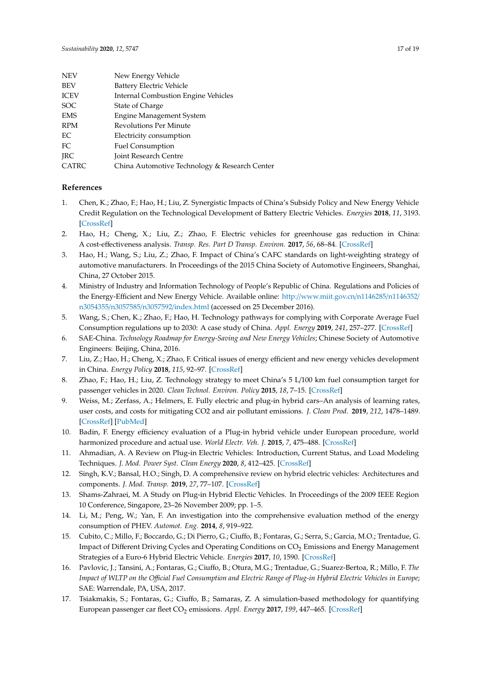| <b>NEV</b>  | New Energy Vehicle                            |
|-------------|-----------------------------------------------|
| <b>BEV</b>  | <b>Battery Electric Vehicle</b>               |
| <b>ICEV</b> | <b>Internal Combustion Engine Vehicles</b>    |
| <b>SOC</b>  | State of Charge                               |
| <b>EMS</b>  | <b>Engine Management System</b>               |
| <b>RPM</b>  | <b>Revolutions Per Minute</b>                 |
| EC          | Electricity consumption                       |
| FC          | <b>Fuel Consumption</b>                       |
| <b>IRC</b>  | <b>Joint Research Centre</b>                  |
| CATRC       | China Automotive Technology & Research Center |

#### **References**

- <span id="page-16-0"></span>1. Chen, K.; Zhao, F.; Hao, H.; Liu, Z. Synergistic Impacts of China's Subsidy Policy and New Energy Vehicle Credit Regulation on the Technological Development of Battery Electric Vehicles. *Energies* **2018**, *11*, 3193. [\[CrossRef\]](http://dx.doi.org/10.3390/en11113193)
- 2. Hao, H.; Cheng, X.; Liu, Z.; Zhao, F. Electric vehicles for greenhouse gas reduction in China: A cost-effectiveness analysis. *Transp. Res. Part D Transp. Environ.* **2017**, *56*, 68–84. [\[CrossRef\]](http://dx.doi.org/10.1016/j.trd.2017.07.025)
- <span id="page-16-1"></span>3. Hao, H.; Wang, S.; Liu, Z.; Zhao, F. Impact of China's CAFC standards on light-weighting strategy of automotive manufacturers. In Proceedings of the 2015 China Society of Automotive Engineers, Shanghai, China, 27 October 2015.
- <span id="page-16-2"></span>4. Ministry of Industry and Information Technology of People's Republic of China. Regulations and Policies of the Energy-Efficient and New Energy Vehicle. Available online: http://[www.miit.gov.cn](http://www.miit.gov.cn/n1146285/n1146352/n3054355/n3057585/n3057592/index.html)/n1146285/n1146352/ n3054355/n3057585/n3057592/[index.html](http://www.miit.gov.cn/n1146285/n1146352/n3054355/n3057585/n3057592/index.html) (accessed on 25 December 2016).
- <span id="page-16-3"></span>5. Wang, S.; Chen, K.; Zhao, F.; Hao, H. Technology pathways for complying with Corporate Average Fuel Consumption regulations up to 2030: A case study of China. *Appl. Energy* **2019**, *241*, 257–277. [\[CrossRef\]](http://dx.doi.org/10.1016/j.apenergy.2019.03.092)
- <span id="page-16-4"></span>6. SAE-China. *Technology Roadmap for Energy-Saving and New Energy Vehicles*; Chinese Society of Automotive Engineers: Beijing, China, 2016.
- <span id="page-16-5"></span>7. Liu, Z.; Hao, H.; Cheng, X.; Zhao, F. Critical issues of energy efficient and new energy vehicles development in China. *Energy Policy* **2018**, *115*, 92–97. [\[CrossRef\]](http://dx.doi.org/10.1016/j.enpol.2018.01.006)
- <span id="page-16-6"></span>8. Zhao, F.; Hao, H.; Liu, Z. Technology strategy to meet China's 5 L/100 km fuel consumption target for passenger vehicles in 2020. *Clean Technol. Environ. Policy* **2015**, *18*, 7–15. [\[CrossRef\]](http://dx.doi.org/10.1007/s10098-015-1019-5)
- <span id="page-16-7"></span>9. Weiss, M.; Zerfass, A.; Helmers, E. Fully electric and plug-in hybrid cars–An analysis of learning rates, user costs, and costs for mitigating CO2 and air pollutant emissions. *J. Clean Prod.* **2019**, *212*, 1478–1489. [\[CrossRef\]](http://dx.doi.org/10.1016/j.jclepro.2018.12.019) [\[PubMed\]](http://www.ncbi.nlm.nih.gov/pubmed/30828137)
- 10. Badin, F. Energy efficiency evaluation of a Plug-in hybrid vehicle under European procedure, world harmonized procedure and actual use. *World Electr. Veh. J.* **2015**, *7*, 475–488. [\[CrossRef\]](http://dx.doi.org/10.3390/wevj7030475)
- <span id="page-16-8"></span>11. Ahmadian, A. A Review on Plug-in Electric Vehicles: Introduction, Current Status, and Load Modeling Techniques. *J. Mod. Power Syst. Clean Energy* **2020**, *8*, 412–425. [\[CrossRef\]](http://dx.doi.org/10.35833/MPCE.2018.000802)
- <span id="page-16-9"></span>12. Singh, K.V.; Bansal, H.O.; Singh, D. A comprehensive review on hybrid electric vehicles: Architectures and components. *J. Mod. Transp.* **2019**, *27*, 77–107. [\[CrossRef\]](http://dx.doi.org/10.1007/s40534-019-0184-3)
- <span id="page-16-10"></span>13. Shams-Zahraei, M. A Study on Plug-in Hybrid Electic Vehicles. In Proceedings of the 2009 IEEE Region 10 Conference, Singapore, 23–26 November 2009; pp. 1–5.
- <span id="page-16-11"></span>14. Li, M.; Peng, W.; Yan, F. An investigation into the comprehensive evaluation method of the energy consumption of PHEV. *Automot. Eng.* **2014**, *8*, 919–922.
- <span id="page-16-12"></span>15. Cubito, C.; Millo, F.; Boccardo, G.; Di Pierro, G.; Ciuffo, B.; Fontaras, G.; Serra, S.; Garcia, M.O.; Trentadue, G. Impact of Different Driving Cycles and Operating Conditions on CO<sub>2</sub> Emissions and Energy Management Strategies of a Euro-6 Hybrid Electric Vehicle. *Energies* **2017**, *10*, 1590. [\[CrossRef\]](http://dx.doi.org/10.3390/en10101590)
- <span id="page-16-13"></span>16. Pavlovic, J.; Tansini, A.; Fontaras, G.; Ciuffo, B.; Otura, M.G.; Trentadue, G.; Suarez-Bertoa, R.; Millo, F. *The Impact of WLTP on the O*ffi*cial Fuel Consumption and Electric Range of Plug-in Hybrid Electric Vehicles in Europe*; SAE: Warrendale, PA, USA, 2017.
- <span id="page-16-14"></span>17. Tsiakmakis, S.; Fontaras, G.; Ciuffo, B.; Samaras, Z. A simulation-based methodology for quantifying European passenger car fleet CO<sup>2</sup> emissions. *Appl. Energy* **2017**, *199*, 447–465. [\[CrossRef\]](http://dx.doi.org/10.1016/j.apenergy.2017.04.045)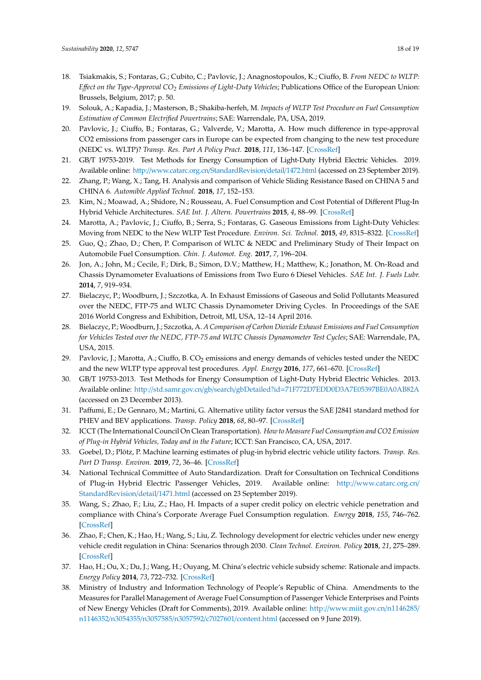- <span id="page-17-0"></span>18. Tsiakmakis, S.; Fontaras, G.; Cubito, C.; Pavlovic, J.; Anagnostopoulos, K.; Ciuffo, B. *From NEDC to WLTP: E*ff*ect on the Type-Approval CO<sup>2</sup> Emissions of Light-Duty Vehicles*; Publications Office of the European Union: Brussels, Belgium, 2017; p. 50.
- <span id="page-17-1"></span>19. Solouk, A.; Kapadia, J.; Masterson, B.; Shakiba-herfeh, M. *Impacts of WLTP Test Procedure on Fuel Consumption Estimation of Common Electrified Powertrains*; SAE: Warrendale, PA, USA, 2019.
- <span id="page-17-2"></span>20. Pavlovic, J.; Ciuffo, B.; Fontaras, G.; Valverde, V.; Marotta, A. How much difference in type-approval CO2 emissions from passenger cars in Europe can be expected from changing to the new test procedure (NEDC vs. WLTP)? *Transp. Res. Part A Policy Pract.* **2018**, *111*, 136–147. [\[CrossRef\]](http://dx.doi.org/10.1016/j.tra.2018.02.002)
- <span id="page-17-3"></span>21. GB/T 19753-2019. Test Methods for Energy Consumption of Light-Duty Hybrid Electric Vehicles. 2019. Available online: http://[www.catarc.org.cn](http://www.catarc.org.cn/StandardRevision/detail/1472.html)/StandardRevision/detail/1472.html (accessed on 23 September 2019).
- <span id="page-17-4"></span>22. Zhang, P.; Wang, X.; Tang, H. Analysis and comparison of Vehicle Sliding Resistance Based on CHINA 5 and CHINA 6. *Automible Applied Technol.* **2018**, *17*, 152–153.
- <span id="page-17-5"></span>23. Kim, N.; Moawad, A.; Shidore, N.; Rousseau, A. Fuel Consumption and Cost Potential of Different Plug-In Hybrid Vehicle Architectures. *SAE Int. J. Altern. Powertrains* **2015**, *4*, 88–99. [\[CrossRef\]](http://dx.doi.org/10.4271/2015-01-1160)
- <span id="page-17-6"></span>24. Marotta, A.; Pavlovic, J.; Ciuffo, B.; Serra, S.; Fontaras, G. Gaseous Emissions from Light-Duty Vehicles: Moving from NEDC to the New WLTP Test Procedure. *Environ. Sci. Technol.* **2015**, *49*, 8315–8322. [\[CrossRef\]](http://dx.doi.org/10.1021/acs.est.5b01364)
- <span id="page-17-7"></span>25. Guo, Q.; Zhao, D.; Chen, P. Comparison of WLTC & NEDC and Preliminary Study of Their Impact on Automobile Fuel Consumption. *Chin. J. Automot. Eng.* **2017**, *7*, 196–204.
- <span id="page-17-8"></span>26. Jon, A.; John, M.; Cecile, F.; Dirk, B.; Simon, D.V.; Matthew, H.; Matthew, K.; Jonathon, M. On-Road and Chassis Dynamometer Evaluations of Emissions from Two Euro 6 Diesel Vehicles. *SAE Int. J. Fuels Lubr.* **2014**, *7*, 919–934.
- 27. Bielaczyc, P.; Woodburn, J.; Szczotka, A. In Exhaust Emissions of Gaseous and Solid Pollutants Measured over the NEDC, FTP-75 and WLTC Chassis Dynamometer Driving Cycles. In Proceedings of the SAE 2016 World Congress and Exhibition, Detroit, MI, USA, 12–14 April 2016.
- 28. Bielaczyc, P.; Woodburn, J.; Szczotka, A. *A Comparison of Carbon Dioxide Exhaust Emissions and Fuel Consumption for Vehicles Tested over the NEDC, FTP-75 and WLTC Chassis Dynamometer Test Cycles*; SAE: Warrendale, PA, USA, 2015.
- <span id="page-17-9"></span>29. Pavlovic, J.; Marotta, A.; Ciuffo, B. CO<sub>2</sub> emissions and energy demands of vehicles tested under the NEDC and the new WLTP type approval test procedures. *Appl. Energy* **2016**, *177*, 661–670. [\[CrossRef\]](http://dx.doi.org/10.1016/j.apenergy.2016.05.110)
- <span id="page-17-10"></span>30. GB/T 19753-2013. Test Methods for Energy Consumption of Light-Duty Hybrid Electric Vehicles. 2013. Available online: http://std.samr.gov.cn/gb/search/gbDetailed?id=[71F772D7EDD0D3A7E05397BE0A0AB82A](http://std.samr.gov.cn/gb/search/gbDetailed?id=71F772D7EDD0D3A7E05397BE0A0AB82A) (accessed on 23 December 2013).
- <span id="page-17-11"></span>31. Paffumi, E.; De Gennaro, M.; Martini, G. Alternative utility factor versus the SAE J2841 standard method for PHEV and BEV applications. *Transp. Policy* **2018**, *68*, 80–97. [\[CrossRef\]](http://dx.doi.org/10.1016/j.tranpol.2018.02.014)
- <span id="page-17-12"></span>32. ICCT (The International Council On Clean Transportation). *How to Measure Fuel Consumption and CO2 Emission of Plug-in Hybrid Vehicles, Today and in the Future*; ICCT: San Francisco, CA, USA, 2017.
- <span id="page-17-13"></span>33. Goebel, D.; Plötz, P. Machine learning estimates of plug-in hybrid electric vehicle utility factors. *Transp. Res. Part D Transp. Environ.* **2019**, *72*, 36–46. [\[CrossRef\]](http://dx.doi.org/10.1016/j.trd.2019.04.008)
- <span id="page-17-14"></span>34. National Technical Committee of Auto Standardization. Draft for Consultation on Technical Conditions of Plug-in Hybrid Electric Passenger Vehicles, 2019. Available online: http://[www.catarc.org.cn](http://www.catarc.org.cn/StandardRevision/detail/1471.html)/ [StandardRevision](http://www.catarc.org.cn/StandardRevision/detail/1471.html)/detail/1471.html (accessed on 23 September 2019).
- <span id="page-17-15"></span>35. Wang, S.; Zhao, F.; Liu, Z.; Hao, H. Impacts of a super credit policy on electric vehicle penetration and compliance with China's Corporate Average Fuel Consumption regulation. *Energy* **2018**, *155*, 746–762. [\[CrossRef\]](http://dx.doi.org/10.1016/j.energy.2018.05.042)
- 36. Zhao, F.; Chen, K.; Hao, H.; Wang, S.; Liu, Z. Technology development for electric vehicles under new energy vehicle credit regulation in China: Scenarios through 2030. *Clean Technol. Environ. Policy* **2018**, *21*, 275–289. [\[CrossRef\]](http://dx.doi.org/10.1007/s10098-018-1635-y)
- <span id="page-17-16"></span>37. Hao, H.; Ou, X.; Du, J.; Wang, H.; Ouyang, M. China's electric vehicle subsidy scheme: Rationale and impacts. *Energy Policy* **2014**, *73*, 722–732. [\[CrossRef\]](http://dx.doi.org/10.1016/j.enpol.2014.05.022)
- <span id="page-17-17"></span>38. Ministry of Industry and Information Technology of People's Republic of China. Amendments to the Measures for Parallel Management of Average Fuel Consumption of Passenger Vehicle Enterprises and Points of New Energy Vehicles (Draft for Comments), 2019. Available online: http://[www.miit.gov.cn](http://www.miit.gov.cn/n1146285/n1146352/n3054355/n3057585/n3057592/c7027601/content.html)/n1146285/ n1146352/n3054355/n3057585/n3057592/c7027601/[content.html](http://www.miit.gov.cn/n1146285/n1146352/n3054355/n3057585/n3057592/c7027601/content.html) (accessed on 9 June 2019).